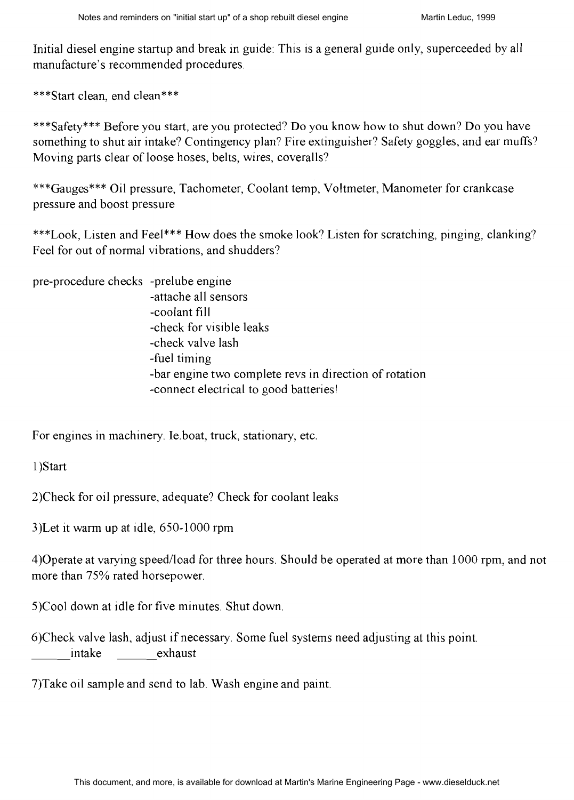Initial diesel engine startup and break in guide: This is a general guide only, superceeded by all manufacture's recommended procedures.

\*\*\*Start clean, end clean\*\*\*

\*\*\*Safety\*\*\* Before you start, are you protected? Do you know how to shut down? Do you have something to shut air intake? Contingency plan? Fire extinguisher? Safety goggles, and ear muffs? Moving parts clear of loose hoses, belts, wires, coveralls?

\*\*\*Gauges\*\*\* Oil pressure, Tachometer, Coolant temp, Voltmeter, Manometer for crankcase pressure and boost pressure

\*\*\*Look, Listen and Feel\*\*\* How does the smoke look? Listen for scratching, pinging, clanking? Feel for out of normal vibrations. and shudders?

| pre-procedure checks -prelube engine |                                                        |
|--------------------------------------|--------------------------------------------------------|
|                                      | -attache all sensors                                   |
|                                      | -coolant fill                                          |
|                                      | -check for visible leaks                               |
|                                      | -check valve lash                                      |
|                                      | -fuel timing                                           |
|                                      | -bar engine two complete revs in direction of rotation |
|                                      | -connect electrical to good batteries!                 |

For engines in machinery. Ie.boat, truck, stationary, etc.

1)Start

3)Check for oil pressure, adequate? Check for coolant leaks

3)Let it warm up at idle, 650-1000 rpm

4)Operate at varying speedlload for three hours. Should be operated at more than 1000 rpm, and not more than 75% rated horsepower.

5)Cool down at idle for five minutes. Shut down

6)Check valve lash, adjust if necessary. Some fuel systems need adjusting at this point. intake exhaust

7)Take oil sample and send to lab. Wash engine and paint.